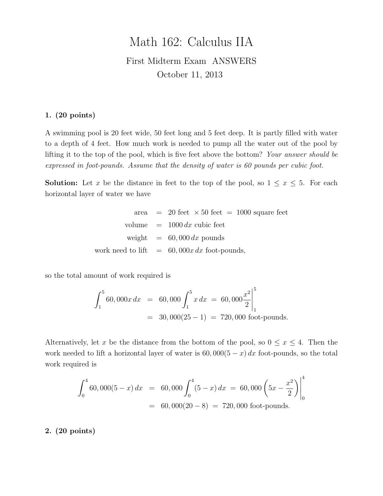# Math 162: Calculus IIA First Midterm Exam ANSWERS October 11, 2013

#### 1. (20 points)

A swimming pool is 20 feet wide, 50 feet long and 5 feet deep. It is partly filled with water to a depth of 4 feet. How much work is needed to pump all the water out of the pool by lifting it to the top of the pool, which is five feet above the bottom? Your answer should be expressed in foot-pounds. Assume that the density of water is 60 pounds per cubic foot.

**Solution:** Let x be the distance in feet to the top of the pool, so  $1 \leq x \leq 5$ . For each horizontal layer of water we have

> area  $= 20$  feet  $\times 50$  feet  $= 1000$  square feet volume  $= 1000 dx$  cubic feet weight  $= 60,000 dx$  pounds work need to lift  $= 60,000x dx$  foot-pounds,

so the total amount of work required is

$$
\int_{1}^{5} 60,000x dx = 60,000 \int_{1}^{5} x dx = 60,000 \frac{x^{2}}{2} \Big|_{1}^{5}
$$
  
= 30,000(25 - 1) = 720,000 foot-pounds.

Alternatively, let x be the distance from the bottom of the pool, so  $0 \le x \le 4$ . Then the work needed to lift a horizontal layer of water is  $60,000(5-x) dx$  foot-pounds, so the total work required is

$$
\int_0^4 60,000(5-x) dx = 60,000 \int_0^4 (5-x) dx = 60,000 \left(5x - \frac{x^2}{2}\right) \Big|_0^4
$$
  
= 60,000(20-8) = 720,000 foot-pounds.

2. (20 points)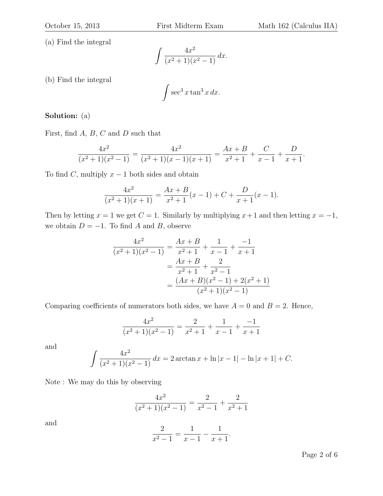(a) Find the integral

$$
\int \frac{4x^2}{(x^2+1)(x^2-1)} dx.
$$

(b) Find the integral

$$
\int \sec^3 x \tan^3 x \, dx.
$$

#### Solution: (a)

First, find  $A, B, C$  and  $D$  such that

$$
\frac{4x^2}{(x^2+1)(x^2-1)} = \frac{4x^2}{(x^2+1)(x-1)(x+1)} = \frac{Ax+B}{x^2+1} + \frac{C}{x-1} + \frac{D}{x+1}.
$$

To find C, multiply  $x - 1$  both sides and obtain

$$
\frac{4x^2}{(x^2+1)(x+1)} = \frac{Ax+B}{x^2+1}(x-1) + C + \frac{D}{x+1}(x-1).
$$

Then by letting  $x = 1$  we get  $C = 1$ . Similarly by multiplying  $x + 1$  and then letting  $x = -1$ , we obtain  $D = -1$ . To find A and B, observe

$$
\frac{4x^2}{(x^2+1)(x^2-1)} = \frac{Ax+B}{x^2+1} + \frac{1}{x-1} + \frac{-1}{x+1}
$$

$$
= \frac{Ax+B}{x^2+1} + \frac{2}{x^2-1}
$$

$$
= \frac{(Ax+B)(x^2-1) + 2(x^2+1)}{(x^2+1)(x^2-1)}
$$

Comparing coefficients of numerators both sides, we have  $A = 0$  and  $B = 2$ . Hence,

$$
\frac{4x^2}{(x^2+1)(x^2-1)} = \frac{2}{x^2+1} + \frac{1}{x-1} + \frac{-1}{x+1}
$$

and

$$
\int \frac{4x^2}{(x^2+1)(x^2-1)} dx = 2 \arctan x + \ln|x-1| - \ln|x+1| + C.
$$

Note : We may do this by observing

$$
\frac{4x^2}{(x^2+1)(x^2-1)} = \frac{2}{x^2-1} + \frac{2}{x^2+1}
$$

and

$$
\frac{2}{x^2 - 1} = \frac{1}{x - 1} - \frac{1}{x + 1}.
$$

Page 2 of 6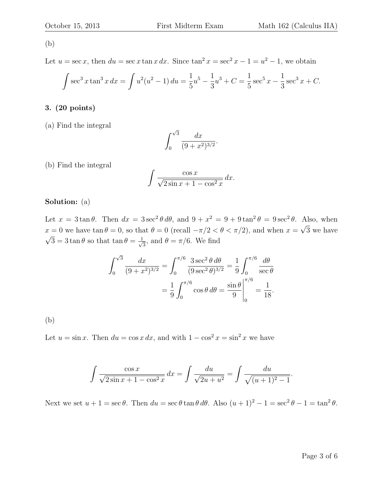#### (b)

Let  $u = \sec x$ , then  $du = \sec x \tan x dx$ . Since  $\tan^2 x = \sec^2 x - 1 = u^2 - 1$ , we obtain

$$
\int \sec^3 x \tan^3 x \, dx = \int u^2(u^2 - 1) \, du = \frac{1}{5}u^5 - \frac{1}{3}u^3 + C = \frac{1}{5} \sec^5 x - \frac{1}{3} \sec^3 x + C.
$$

#### 3. (20 points)

(a) Find the integral

$$
\int_0^{\sqrt{3}} \frac{dx}{(9+x^2)^{3/2}}.
$$

(b) Find the integral

$$
\int \frac{\cos x}{\sqrt{2 \sin x + 1 - \cos^2 x}} dx.
$$

#### Solution: (a)

Let  $x = 3 \tan \theta$ . Then  $dx = 3 \sec^2 \theta d\theta$ , and  $9 + x^2 = 9 + 9 \tan^2 \theta = 9 \sec^2 \theta$ . Also, when  $x = 0$  we have tan  $\theta = 0$ , so that  $\theta = 0$  (recall  $-\pi/2 < \theta < \pi/2$ ), and when  $x =$ √  $x = 0$  we have  $\tan \theta = 0$ , so that  $\theta = 0$  (recall  $-\pi/2 < \theta < \pi/2$ ), and when  $x = \sqrt{3}$  we have  $\overline{3} = 3 \tan \theta$  so that  $\tan \theta = \frac{1}{\sqrt{2}}$  $\frac{1}{3}$ , and  $\theta = \pi/6$ . We find

$$
\int_0^{\sqrt{3}} \frac{dx}{(9+x^2)^{3/2}} = \int_0^{\pi/6} \frac{3 \sec^2 \theta \, d\theta}{(9 \sec^2 \theta)^{3/2}} = \frac{1}{9} \int_0^{\pi/6} \frac{d\theta}{\sec \theta}
$$

$$
= \frac{1}{9} \int_0^{\pi/6} \cos \theta \, d\theta = \frac{\sin \theta}{9} \Big|_0^{\pi/6} = \frac{1}{18}.
$$

(b)

Let  $u = \sin x$ . Then  $du = \cos x dx$ , and with  $1 - \cos^2 x = \sin^2 x$  we have

$$
\int \frac{\cos x}{\sqrt{2 \sin x + 1 - \cos^2 x}} dx = \int \frac{du}{\sqrt{2u + u^2}} = \int \frac{du}{\sqrt{(u + 1)^2 - 1}}.
$$

Next we set  $u + 1 = \sec \theta$ . Then  $du = \sec \theta \tan \theta d\theta$ . Also  $(u + 1)^2 - 1 = \sec^2 \theta - 1 = \tan^2 \theta$ .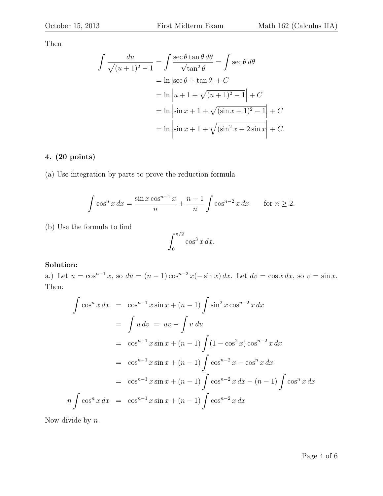Then

$$
\int \frac{du}{\sqrt{(u+1)^2 - 1}} = \int \frac{\sec \theta \tan \theta \, d\theta}{\sqrt{\tan^2 \theta}} = \int \sec \theta \, d\theta
$$

$$
= \ln \left| \sec \theta + \tan \theta \right| + C
$$

$$
= \ln \left| u + 1 + \sqrt{(u+1)^2 - 1} \right| + C
$$

$$
= \ln \left| \sin x + 1 + \sqrt{(\sin x + 1)^2 - 1} \right| + C
$$

$$
= \ln \left| \sin x + 1 + \sqrt{(\sin^2 x + 2 \sin x)} \right| + C.
$$

## 4. (20 points)

(a) Use integration by parts to prove the reduction formula

$$
\int \cos^n x \, dx = \frac{\sin x \cos^{n-1} x}{n} + \frac{n-1}{n} \int \cos^{n-2} x \, dx \quad \text{for } n \ge 2.
$$

(b) Use the formula to find

$$
\int_0^{\pi/2} \cos^3 x \, dx.
$$

### Solution:

a.) Let  $u = \cos^{n-1} x$ , so  $du = (n-1)\cos^{n-2} x(-\sin x) dx$ . Let  $dv = \cos x dx$ , so  $v = \sin x$ . Then:

$$
\int \cos^n x \, dx = \cos^{n-1} x \sin x + (n-1) \int \sin^2 x \cos^{n-2} x \, dx
$$
  
= 
$$
\int u \, dv = uv - \int v \, du
$$
  
= 
$$
\cos^{n-1} x \sin x + (n-1) \int (1 - \cos^2 x) \cos^{n-2} x \, dx
$$
  
= 
$$
\cos^{n-1} x \sin x + (n-1) \int \cos^{n-2} x - \cos^n x \, dx
$$
  
= 
$$
\cos^{n-1} x \sin x + (n-1) \int \cos^{n-2} x \, dx - (n-1) \int \cos^n x \, dx
$$
  

$$
n \int \cos^n x \, dx = \cos^{n-1} x \sin x + (n-1) \int \cos^{n-2} x \, dx
$$

Now divide by n.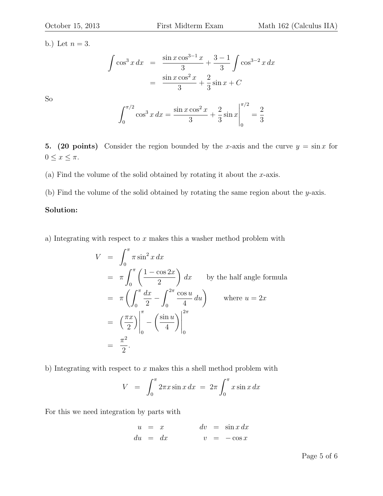b.) Let  $n = 3$ .

So

$$
\int \cos^3 x \, dx = \frac{\sin x \cos^{3-1} x}{3} + \frac{3-1}{3} \int \cos^{3-2} x \, dx
$$

$$
= \frac{\sin x \cos^2 x}{3} + \frac{2}{3} \sin x + C
$$

$$
\int_0^{\pi/2} \cos^3 x \, dx = \frac{\sin x \cos^2 x}{3} + \frac{2}{3} \sin x \Big|_0^{\pi/2} = \frac{2}{3}
$$

5. (20 points) Consider the region bounded by the x-axis and the curve  $y = \sin x$  for  $0 \leq x \leq \pi$ .

3

3

3

(a) Find the volume of the solid obtained by rotating it about the  $x$ -axis.

0

(b) Find the volume of the solid obtained by rotating the same region about the y-axis.

#### Solution:

a) Integrating with respect to  $x$  makes this a washer method problem with

$$
V = \int_0^{\pi} \pi \sin^2 x \, dx
$$
  
=  $\pi \int_0^{\pi} \left( \frac{1 - \cos 2x}{2} \right) dx$  by the half angle formula  
=  $\pi \left( \int_0^{\pi} \frac{dx}{2} - \int_0^{2\pi} \frac{\cos u}{4} \, du \right)$  where  $u = 2x$   
=  $\left( \frac{\pi x}{2} \right) \Big|_0^{\pi} - \left( \frac{\sin u}{4} \right) \Big|_0^{2\pi}$   
=  $\frac{\pi^2}{2}$ .

b) Integrating with respect to  $x$  makes this a shell method problem with

$$
V = \int_0^\pi 2\pi x \sin x \, dx = 2\pi \int_0^\pi x \sin x \, dx
$$

For this we need integration by parts with

$$
\begin{array}{rcl}\nu &=& x \\
du &=& dx\n\end{array}\n\qquad\n\begin{array}{rcl}\ndv &=& \sin x \, dx \\
v &=& -\cos x\n\end{array}
$$